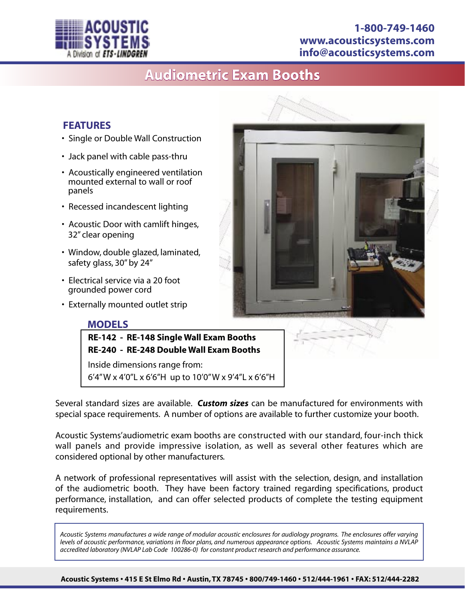

## **1-800-749-1460 www.acousticsystems.com info@acousticsystems.com**

# **Audiometric Exam Booths**

### **FEATURES**

- Single or Double Wall Construction
- Jack panel with cable pass-thru
- Acoustically engineered ventilation mounted external to wall or roof panels
- Recessed incandescent lighting
- Acoustic Door with camlift hinges, 32" clear opening
- Window, double glazed, laminated, safety glass, 30" by 24"
- Electrical service via a 20 foot grounded power cord
- Externally mounted outlet strip

#### **MODELS**



**RE-240 - RE-248 Double Wall Exam Booths**

Inside dimensions range from: 6'4" W x 4'0"L x 6'6"H up to 10'0" W x 9'4"L x 6'6"H

Several standard sizes are available. *Custom sizes* can be manufactured for environments with special space requirements. A number of options are available to further customize your booth.

Acoustic Systems'audiometric exam booths are constructed with our standard, four-inch thick wall panels and provide impressive isolation, as well as several other features which are considered optional by other manufacturers.

A network of professional representatives will assist with the selection, design, and installation of the audiometric booth. They have been factory trained regarding specifications, product performance, installation, and can offer selected products of complete the testing equipment requirements.

*Acoustic Systems manufactures a wide range of modular acoustic enclosures for audiology programs. The enclosures offer varying levels of acoustic performance, variations in floor plans, and numerous appearance options. Acoustic Systems maintains a NVLAP accredited laboratory (NVLAP Lab Code 100286-0) for constant product research and performance assurance.*